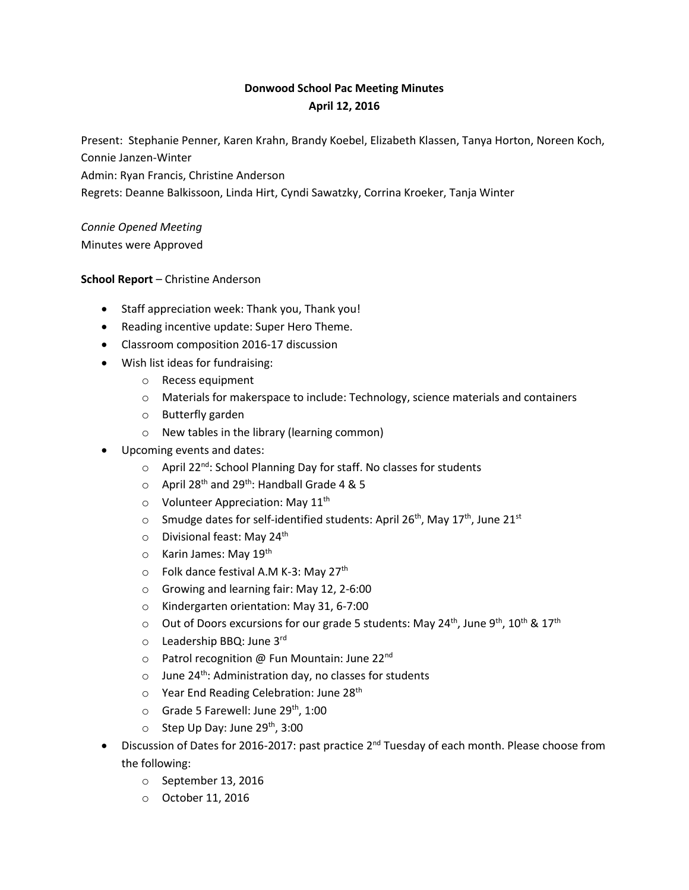# **Donwood School Pac Meeting Minutes April 12, 2016**

Present: Stephanie Penner, Karen Krahn, Brandy Koebel, Elizabeth Klassen, Tanya Horton, Noreen Koch, Connie Janzen-Winter

Admin: Ryan Francis, Christine Anderson

Regrets: Deanne Balkissoon, Linda Hirt, Cyndi Sawatzky, Corrina Kroeker, Tanja Winter

# *Connie Opened Meeting*

Minutes were Approved

#### **School Report** – Christine Anderson

- Staff appreciation week: Thank you, Thank you!
- Reading incentive update: Super Hero Theme.
- Classroom composition 2016-17 discussion
- Wish list ideas for fundraising:
	- o Recess equipment
	- $\circ$  Materials for makerspace to include: Technology, science materials and containers
	- o Butterfly garden
	- o New tables in the library (learning common)
- Upcoming events and dates:
	- $\circ$  April 22<sup>nd</sup>: School Planning Day for staff. No classes for students
	- $\circ$  April 28<sup>th</sup> and 29<sup>th</sup>: Handball Grade 4 & 5
	- $\circ$  Volunteer Appreciation: May 11<sup>th</sup>
	- $\circ$  Smudge dates for self-identified students: April 26<sup>th</sup>, May 17<sup>th</sup>, June 21<sup>st</sup>
	- $\circ$  Divisional feast: May 24<sup>th</sup>
	- $\circ$  Karin James: May 19<sup>th</sup>
	- $\circ$  Folk dance festival A.M K-3: May 27<sup>th</sup>
	- o Growing and learning fair: May 12, 2-6:00
	- o Kindergarten orientation: May 31, 6-7:00
	- $\circ$  Out of Doors excursions for our grade 5 students: May 24<sup>th</sup>, June 9<sup>th</sup>, 10<sup>th</sup> & 17<sup>th</sup>
	- $\circ$  Leadership BBQ: June 3rd
	- $\circ$  Patrol recognition @ Fun Mountain: June 22<sup>nd</sup>
	- $\circ$  June 24<sup>th</sup>: Administration day, no classes for students
	- o Year End Reading Celebration: June 28<sup>th</sup>
	- $\circ$  Grade 5 Farewell: June 29<sup>th</sup>, 1:00
	- $\circ$  Step Up Day: June 29<sup>th</sup>, 3:00
- Discussion of Dates for 2016-2017: past practice 2<sup>nd</sup> Tuesday of each month. Please choose from the following:
	- o September 13, 2016
	- o October 11, 2016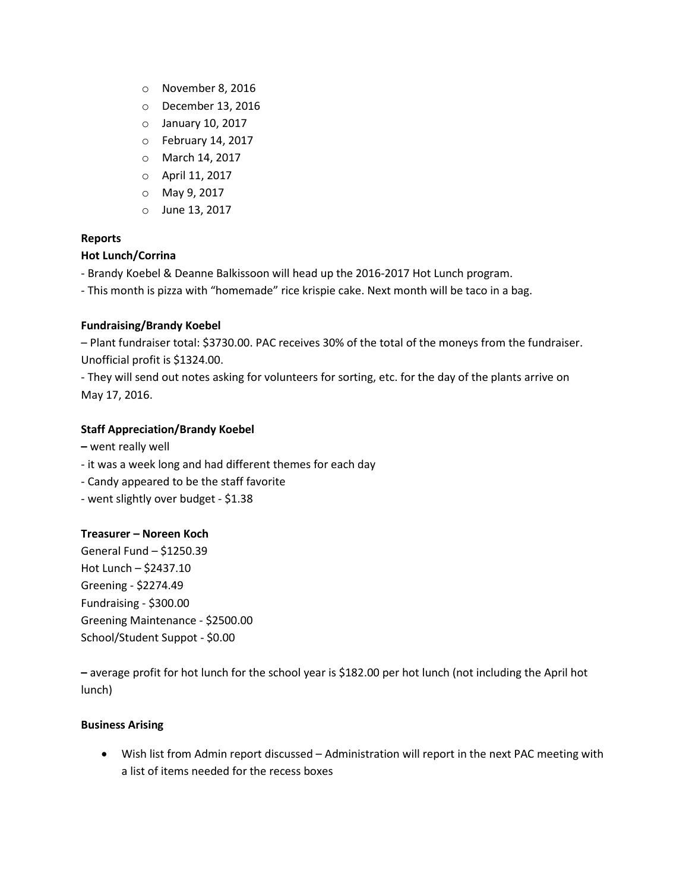- o November 8, 2016
- o December 13, 2016
- o January 10, 2017
- o February 14, 2017
- o March 14, 2017
- o April 11, 2017
- o May 9, 2017
- o June 13, 2017

# **Reports**

#### **Hot Lunch/Corrina**

- Brandy Koebel & Deanne Balkissoon will head up the 2016-2017 Hot Lunch program.

- This month is pizza with "homemade" rice krispie cake. Next month will be taco in a bag.

## **Fundraising/Brandy Koebel**

– Plant fundraiser total: \$3730.00. PAC receives 30% of the total of the moneys from the fundraiser. Unofficial profit is \$1324.00.

- They will send out notes asking for volunteers for sorting, etc. for the day of the plants arrive on May 17, 2016.

## **Staff Appreciation/Brandy Koebel**

- **–** went really well
- it was a week long and had different themes for each day
- Candy appeared to be the staff favorite
- went slightly over budget \$1.38

## **Treasurer – Noreen Koch**

General Fund – \$1250.39 Hot Lunch – \$2437.10 Greening - \$2274.49 Fundraising - \$300.00 Greening Maintenance - \$2500.00 School/Student Suppot - \$0.00

**–** average profit for hot lunch for the school year is \$182.00 per hot lunch (not including the April hot lunch)

## **Business Arising**

 Wish list from Admin report discussed – Administration will report in the next PAC meeting with a list of items needed for the recess boxes